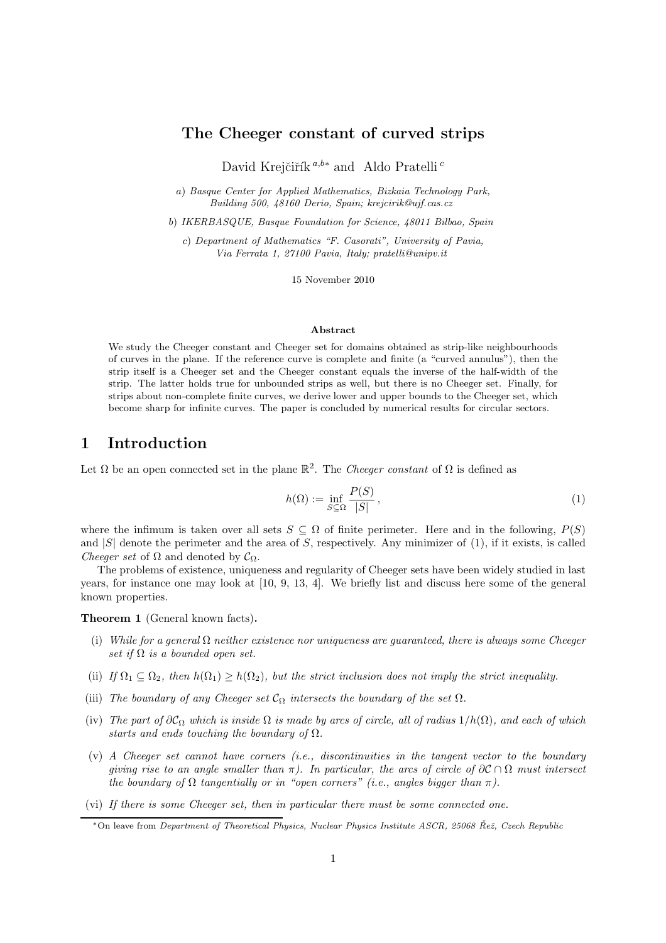# The Cheeger constant of curved strips

David Krejčiřík<sup>a,b∗</sup> and Aldo Pratelli<sup>c</sup>

a) Basque Center for Applied Mathematics, Bizkaia Technology Park, Building 500, 48160 Derio, Spain; krejcirik@ujf.cas.cz

b) IKERBASQUE, Basque Foundation for Science, 48011 Bilbao, Spain

c) Department of Mathematics "F. Casorati", University of Pavia, Via Ferrata 1, 27100 Pavia, Italy; pratelli@unipv.it

15 November 2010

#### Abstract

We study the Cheeger constant and Cheeger set for domains obtained as strip-like neighbourhoods of curves in the plane. If the reference curve is complete and finite (a "curved annulus"), then the strip itself is a Cheeger set and the Cheeger constant equals the inverse of the half-width of the strip. The latter holds true for unbounded strips as well, but there is no Cheeger set. Finally, for strips about non-complete finite curves, we derive lower and upper bounds to the Cheeger set, which become sharp for infinite curves. The paper is concluded by numerical results for circular sectors.

# 1 Introduction

Let  $\Omega$  be an open connected set in the plane  $\mathbb{R}^2$ . The *Cheeger constant* of  $\Omega$  is defined as

$$
h(\Omega) := \inf_{S \subseteq \Omega} \frac{P(S)}{|S|},\tag{1}
$$

where the infimum is taken over all sets  $S \subseteq \Omega$  of finite perimeter. Here and in the following,  $P(S)$ and  $|S|$  denote the perimeter and the area of S, respectively. Any minimizer of  $(1)$ , if it exists, is called *Cheeger set* of  $\Omega$  and denoted by  $\mathcal{C}_{\Omega}$ .

The problems of existence, uniqueness and regularity of Cheeger sets have been widely studied in last years, for instance one may look at [10, 9, 13, 4]. We briefly list and discuss here some of the general known properties.

Theorem 1 (General known facts).

- (i) *While for a general* Ω *neither existence nor uniqueness are guaranteed, there is always some Cheeger set if*  $\Omega$  *is a bounded open set.*
- (ii) *If*  $\Omega_1 \subset \Omega_2$ , then  $h(\Omega_1) > h(\Omega_2)$ , but the strict inclusion does not imply the strict inequality.
- (iii) *The boundary of any Cheeger set*  $C_{\Omega}$  *intersects the boundary of the set*  $\Omega$ *.*
- (iv) *The part of*  $\partial C_{\Omega}$  *which is inside*  $\Omega$  *is made by arcs of circle, all of radius*  $1/h(\Omega)$ *, and each of which starts and ends touching the boundary of* Ω*.*
- (v) *A Cheeger set cannot have corners (i.e., discontinuities in the tangent vector to the boundary giving rise to an angle smaller than*  $\pi$ ). In particular, the arcs of circle of  $\partial \mathcal{C} \cap \Omega$  must intersect *the boundary of*  $\Omega$  *tangentially or in "open corners" (i.e., angles bigger than*  $\pi$ ).
- (vi) *If there is some Cheeger set, then in particular there must be some connected one.*

<sup>\*</sup> On leave from Department of Theoretical Physics, Nuclear Physics Institute ASCR, 25068 Řež, Czech Republic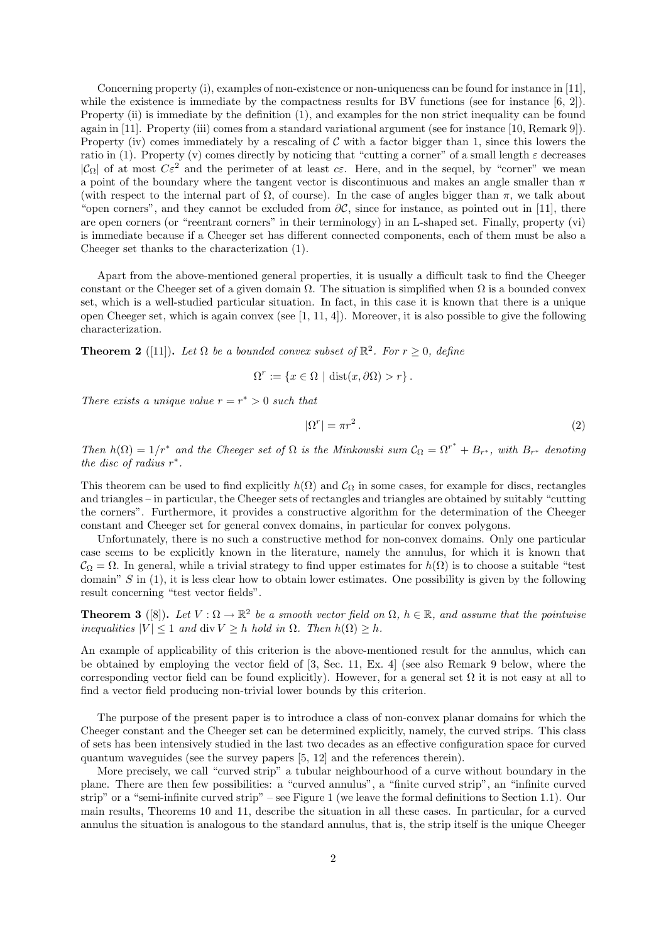Concerning property (i), examples of non-existence or non-uniqueness can be found for instance in [11], while the existence is immediate by the compactness results for BV functions (see for instance [6, 2]). Property (ii) is immediate by the definition (1), and examples for the non strict inequality can be found again in [11]. Property (iii) comes from a standard variational argument (see for instance [10, Remark 9]). Property (iv) comes immediately by a rescaling of  $C$  with a factor bigger than 1, since this lowers the ratio in (1). Property (v) comes directly by noticing that "cutting a corner" of a small length  $\varepsilon$  decreases  $|\mathcal{C}_{\Omega}|$  of at most  $C\varepsilon^2$  and the perimeter of at least  $c\varepsilon$ . Here, and in the sequel, by "corner" we mean a point of the boundary where the tangent vector is discontinuous and makes an angle smaller than  $\pi$ (with respect to the internal part of  $\Omega$ , of course). In the case of angles bigger than  $\pi$ , we talk about "open corners", and they cannot be excluded from  $\partial C$ , since for instance, as pointed out in [11], there are open corners (or "reentrant corners" in their terminology) in an L-shaped set. Finally, property (vi) is immediate because if a Cheeger set has different connected components, each of them must be also a Cheeger set thanks to the characterization (1).

Apart from the above-mentioned general properties, it is usually a difficult task to find the Cheeger constant or the Cheeger set of a given domain  $\Omega$ . The situation is simplified when  $\Omega$  is a bounded convex set, which is a well-studied particular situation. In fact, in this case it is known that there is a unique open Cheeger set, which is again convex (see [1, 11, 4]). Moreover, it is also possible to give the following characterization.

**Theorem 2** ([11]). Let  $\Omega$  be a bounded convex subset of  $\mathbb{R}^2$ . For  $r \geq 0$ , define

$$
\Omega^r := \{ x \in \Omega \mid \text{dist}(x, \partial \Omega) > r \}.
$$

*There exists a unique value*  $r = r^* > 0$  *such that* 

$$
|\Omega^r| = \pi r^2. \tag{2}
$$

*Then*  $h(\Omega) = 1/r^*$  *and the Cheeger set of*  $\Omega$  *is the Minkowski sum*  $C_{\Omega} = \Omega^{r^*} + B_{r^*}$ *, with*  $B_{r^*}$  *denoting the disc of radius*  $r^*$ .

This theorem can be used to find explicitly  $h(\Omega)$  and  $C_{\Omega}$  in some cases, for example for discs, rectangles and triangles – in particular, the Cheeger sets of rectangles and triangles are obtained by suitably "cutting the corners". Furthermore, it provides a constructive algorithm for the determination of the Cheeger constant and Cheeger set for general convex domains, in particular for convex polygons.

Unfortunately, there is no such a constructive method for non-convex domains. Only one particular case seems to be explicitly known in the literature, namely the annulus, for which it is known that  $\mathcal{C}_{\Omega} = \Omega$ . In general, while a trivial strategy to find upper estimates for  $h(\Omega)$  is to choose a suitable "test" domain"  $S$  in (1), it is less clear how to obtain lower estimates. One possibility is given by the following result concerning "test vector fields".

**Theorem 3** ([8]). Let  $V : \Omega \to \mathbb{R}^2$  be a smooth vector field on  $\Omega$ ,  $h \in \mathbb{R}$ , and assume that the pointwise *inequalities*  $|V| \leq 1$  *and* div  $V \geq h$  *hold in*  $\Omega$ *. Then*  $h(\Omega) \geq h$ *.* 

An example of applicability of this criterion is the above-mentioned result for the annulus, which can be obtained by employing the vector field of [3, Sec. 11, Ex. 4] (see also Remark 9 below, where the corresponding vector field can be found explicitly). However, for a general set  $\Omega$  it is not easy at all to find a vector field producing non-trivial lower bounds by this criterion.

The purpose of the present paper is to introduce a class of non-convex planar domains for which the Cheeger constant and the Cheeger set can be determined explicitly, namely, the curved strips. This class of sets has been intensively studied in the last two decades as an effective configuration space for curved quantum waveguides (see the survey papers [5, 12] and the references therein).

More precisely, we call "curved strip" a tubular neighbourhood of a curve without boundary in the plane. There are then few possibilities: a "curved annulus", a "finite curved strip", an "infinite curved strip" or a "semi-infinite curved strip" – see Figure 1 (we leave the formal definitions to Section 1.1). Our main results, Theorems 10 and 11, describe the situation in all these cases. In particular, for a curved annulus the situation is analogous to the standard annulus, that is, the strip itself is the unique Cheeger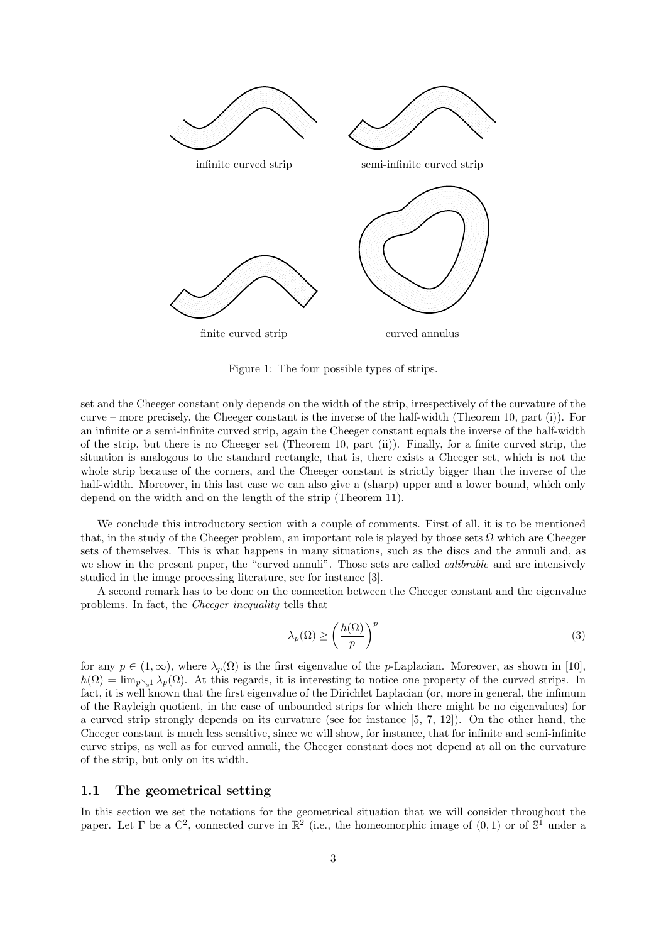

Figure 1: The four possible types of strips.

set and the Cheeger constant only depends on the width of the strip, irrespectively of the curvature of the curve – more precisely, the Cheeger constant is the inverse of the half-width (Theorem 10, part (i)). For an infinite or a semi-infinite curved strip, again the Cheeger constant equals the inverse of the half-width of the strip, but there is no Cheeger set (Theorem 10, part (ii)). Finally, for a finite curved strip, the situation is analogous to the standard rectangle, that is, there exists a Cheeger set, which is not the whole strip because of the corners, and the Cheeger constant is strictly bigger than the inverse of the half-width. Moreover, in this last case we can also give a (sharp) upper and a lower bound, which only depend on the width and on the length of the strip (Theorem 11).

We conclude this introductory section with a couple of comments. First of all, it is to be mentioned that, in the study of the Cheeger problem, an important role is played by those sets  $\Omega$  which are Cheeger sets of themselves. This is what happens in many situations, such as the discs and the annuli and, as we show in the present paper, the "curved annuli". Those sets are called *calibrable* and are intensively studied in the image processing literature, see for instance [3].

A second remark has to be done on the connection between the Cheeger constant and the eigenvalue problems. In fact, the *Cheeger inequality* tells that

$$
\lambda_p(\Omega) \ge \left(\frac{h(\Omega)}{p}\right)^p \tag{3}
$$

for any  $p \in (1,\infty)$ , where  $\lambda_p(\Omega)$  is the first eigenvalue of the *p*-Laplacian. Moreover, as shown in [10],  $h(\Omega) = \lim_{\nu \to 1} \lambda_{\nu}(\Omega)$ . At this regards, it is interesting to notice one property of the curved strips. In fact, it is well known that the first eigenvalue of the Dirichlet Laplacian (or, more in general, the infimum of the Rayleigh quotient, in the case of unbounded strips for which there might be no eigenvalues) for a curved strip strongly depends on its curvature (see for instance [5, 7, 12]). On the other hand, the Cheeger constant is much less sensitive, since we will show, for instance, that for infinite and semi-infinite curve strips, as well as for curved annuli, the Cheeger constant does not depend at all on the curvature of the strip, but only on its width.

#### 1.1 The geometrical setting

In this section we set the notations for the geometrical situation that we will consider throughout the paper. Let  $\Gamma$  be a  $\mathbb{C}^2$ , connected curve in  $\mathbb{R}^2$  (i.e., the homeomorphic image of  $(0,1)$  or of  $\mathbb{S}^1$  under a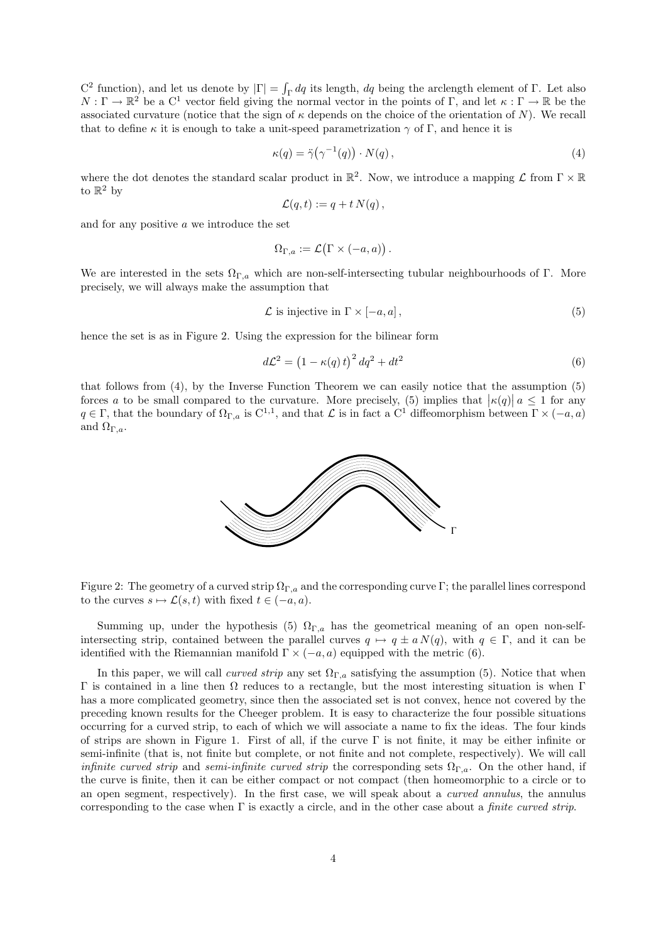C<sup>2</sup> function), and let us denote by  $|\Gamma| = \int_{\Gamma} dq$  its length, dq being the arclength element of Γ. Let also  $N:\Gamma\to\mathbb{R}^2$  be a  $C^1$  vector field giving the normal vector in the points of  $\Gamma$ , and let  $\kappa:\Gamma\to\mathbb{R}$  be the associated curvature (notice that the sign of  $\kappa$  depends on the choice of the orientation of N). We recall that to define  $\kappa$  it is enough to take a unit-speed parametrization  $\gamma$  of Γ, and hence it is

$$
\kappa(q) = \ddot{\gamma}(\gamma^{-1}(q)) \cdot N(q) \,, \tag{4}
$$

where the dot denotes the standard scalar product in  $\mathbb{R}^2$ . Now, we introduce a mapping  $\mathcal L$  from  $\Gamma \times \mathbb{R}$ to  $\mathbb{R}^2$  by

$$
\mathcal{L}(q,t) := q + t N(q) \,,
$$

and for any positive a we introduce the set

$$
\Omega_{\Gamma,a} := \mathcal{L}(\Gamma \times (-a,a)).
$$

We are interested in the sets  $\Omega_{\Gamma,a}$  which are non-self-intersecting tubular neighbourhoods of Γ. More precisely, we will always make the assumption that

$$
\mathcal{L} \text{ is injective in } \Gamma \times [-a, a], \tag{5}
$$

hence the set is as in Figure 2. Using the expression for the bilinear form

$$
d\mathcal{L}^2 = \left(1 - \kappa(q)t\right)^2 dq^2 + dt^2\tag{6}
$$

that follows from (4), by the Inverse Function Theorem we can easily notice that the assumption (5) forces a to be small compared to the curvature. More precisely, (5) implies that  $|\kappa(q)| a \leq 1$  for any  $q \in \Gamma$ , that the boundary of  $\Omega_{\Gamma,a}$  is  $C^{1,1}$ , and that  $\mathcal L$  is in fact a  $C^1$  diffeomorphism between  $\Gamma \times (-a,a)$ and  $\Omega_{\Gamma,a}$ .



Figure 2: The geometry of a curved strip  $\Omega_{\Gamma,a}$  and the corresponding curve Γ; the parallel lines correspond to the curves  $s \mapsto \mathcal{L}(s, t)$  with fixed  $t \in (-a, a)$ .

Summing up, under the hypothesis (5)  $\Omega_{\Gamma,a}$  has the geometrical meaning of an open non-selfintersecting strip, contained between the parallel curves  $q \mapsto q \pm a N(q)$ , with  $q \in \Gamma$ , and it can be identified with the Riemannian manifold  $\Gamma \times (-a, a)$  equipped with the metric (6).

In this paper, we will call *curved strip* any set  $\Omega_{\Gamma,a}$  satisfying the assumption (5). Notice that when  $Γ$  is contained in a line then  $Ω$  reduces to a rectangle, but the most interesting situation is when Γ has a more complicated geometry, since then the associated set is not convex, hence not covered by the preceding known results for the Cheeger problem. It is easy to characterize the four possible situations occurring for a curved strip, to each of which we will associate a name to fix the ideas. The four kinds of strips are shown in Figure 1. First of all, if the curve  $\Gamma$  is not finite, it may be either infinite or semi-infinite (that is, not finite but complete, or not finite and not complete, respectively). We will call *infinite curved strip* and *semi-infinite curved strip* the corresponding sets  $\Omega_{\Gamma,a}$ . On the other hand, if the curve is finite, then it can be either compact or not compact (then homeomorphic to a circle or to an open segment, respectively). In the first case, we will speak about a *curved annulus*, the annulus corresponding to the case when Γ is exactly a circle, and in the other case about a *finite curved strip*.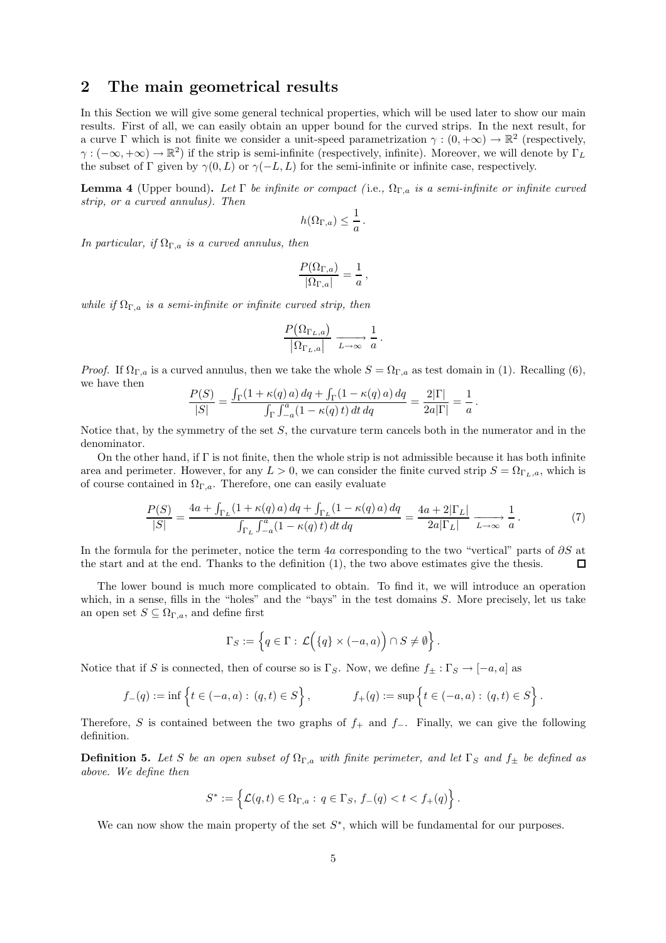## 2 The main geometrical results

In this Section we will give some general technical properties, which will be used later to show our main results. First of all, we can easily obtain an upper bound for the curved strips. In the next result, for a curve  $\Gamma$  which is not finite we consider a unit-speed parametrization  $\gamma : (0, +\infty) \to \mathbb{R}^2$  (respectively,  $\gamma:(-\infty,+\infty)\to\mathbb{R}^2$ ) if the strip is semi-infinite (respectively, infinite). Moreover, we will denote by  $\Gamma_L$ the subset of Γ given by  $\gamma(0, L)$  or  $\gamma(-L, L)$  for the semi-infinite or infinite case, respectively.

Lemma 4 (Upper bound). *Let* Γ *be infinite or compact (* i.e.*,* ΩΓ,a *is a semi-infinite or infinite curved strip, or a curved annulus). Then*

$$
h(\Omega_{\Gamma,a}) \leq \frac{1}{a}.
$$

*In particular, if*  $\Omega_{\Gamma,a}$  *is a curved annulus, then* 

$$
\frac{P(\Omega_{\Gamma,a})}{|\Omega_{\Gamma,a}|}=\frac{1}{a}\,,
$$

*while if*  $\Omega_{\Gamma,a}$  *is a semi-infinite or infinite curved strip, then* 

$$
\frac{P\big(\Omega_{\Gamma_L,a}\big)}{\big|\Omega_{\Gamma_L,a}\big|} \xrightarrow[L \to \infty]{} \frac{1}{a}.
$$

*Proof.* If  $\Omega_{\Gamma,a}$  is a curved annulus, then we take the whole  $S = \Omega_{\Gamma,a}$  as test domain in (1). Recalling (6), we have then

$$
\frac{P(S)}{|S|} = \frac{\int_{\Gamma} (1 + \kappa(q) a) dq + \int_{\Gamma} (1 - \kappa(q) a) dq}{\int_{\Gamma} \int_{-a}^{a} (1 - \kappa(q) t) dt dq} = \frac{2|\Gamma|}{2a|\Gamma|} = \frac{1}{a}.
$$

Notice that, by the symmetry of the set  $S$ , the curvature term cancels both in the numerator and in the denominator.

On the other hand, if  $\Gamma$  is not finite, then the whole strip is not admissible because it has both infinite area and perimeter. However, for any  $L > 0$ , we can consider the finite curved strip  $S = \Omega_{\Gamma_L, a}$ , which is of course contained in  $\Omega_{\Gamma,a}$ . Therefore, one can easily evaluate

$$
\frac{P(S)}{|S|} = \frac{4a + \int_{\Gamma_L} (1 + \kappa(q) a) dq + \int_{\Gamma_L} (1 - \kappa(q) a) dq}{\int_{\Gamma_L} \int_{-a}^{a} (1 - \kappa(q) t) dt dq} = \frac{4a + 2|\Gamma_L|}{2a|\Gamma_L|} \xrightarrow[L \to \infty]{} \frac{1}{a}.
$$
 (7)

In the formula for the perimeter, notice the term 4a corresponding to the two "vertical" parts of  $\partial S$  at the start and at the end. Thanks to the definition (1), the two above estimates give the thesis.  $\Box$ 

The lower bound is much more complicated to obtain. To find it, we will introduce an operation which, in a sense, fills in the "holes" and the "bays" in the test domains  $S$ . More precisely, let us take an open set  $S \subseteq \Omega_{\Gamma,a}$ , and define first

$$
\Gamma_S:=\left\{q\in\Gamma:\,\mathcal{L}\Big(\{q\}\times(-a,a)\Big)\cap S\neq\emptyset\right\}.
$$

Notice that if S is connected, then of course so is Γ<sub>S</sub>. Now, we define  $f_{\pm} : \Gamma_S \to [-a, a]$  as

$$
f_{-}(q) := \inf \left\{ t \in (-a, a) : (q, t) \in S \right\}, \qquad f_{+}(q) := \sup \left\{ t \in (-a, a) : (q, t) \in S \right\}.
$$

Therefore, S is contained between the two graphs of  $f_+$  and  $f_-$ . Finally, we can give the following definition.

**Definition 5.** Let S be an open subset of  $\Omega_{\Gamma,a}$  with finite perimeter, and let  $\Gamma_S$  and  $f_{\pm}$  be defined as *above. We define then*

$$
S^* := \left\{ \mathcal{L}(q,t) \in \Omega_{\Gamma,a} : q \in \Gamma_S, f_-(q) < t < f_+(q) \right\}.
$$

We can now show the main property of the set  $S^*$ , which will be fundamental for our purposes.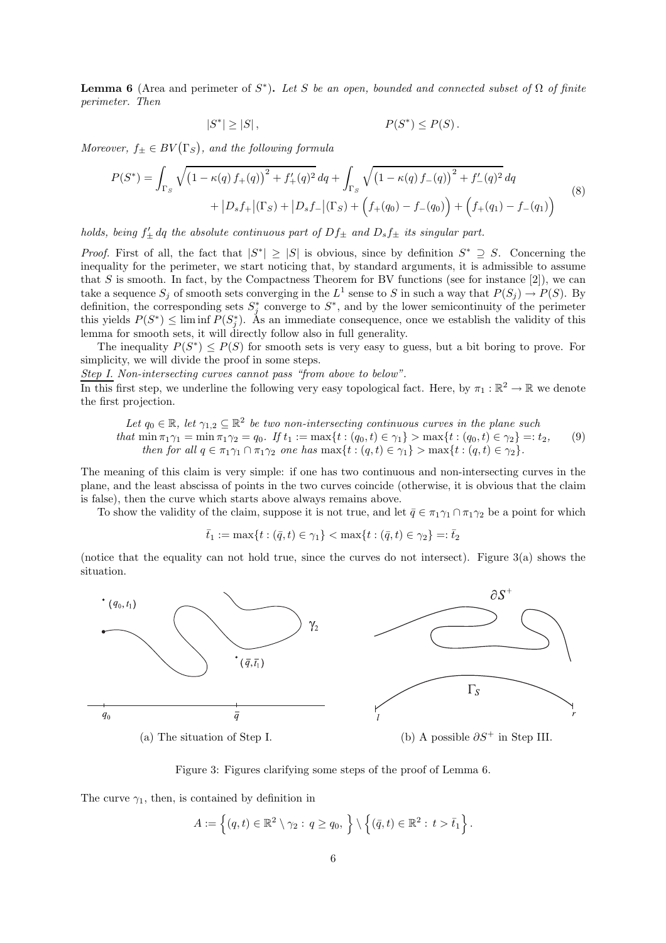**Lemma 6** (Area and perimeter of  $S^*$ ). Let S be an open, bounded and connected subset of  $\Omega$  of finite *perimeter. Then*

$$
|S^*| \ge |S|,
$$
\n
$$
P(S^*) \le P(S).
$$

*Moreover,*  $f_{\pm} \in BV(\Gamma_S)$ *, and the following formula* 

$$
P(S^*) = \int_{\Gamma_S} \sqrt{\left(1 - \kappa(q) f_+(q)\right)^2 + f'_+(q)^2} \, dq + \int_{\Gamma_S} \sqrt{\left(1 - \kappa(q) f_-(q)\right)^2 + f'_-(q)^2} \, dq
$$
  
+ 
$$
\left|D_s f_+\right|(\Gamma_S) + \left|D_s f_-\right|(\Gamma_S) + \left(f_+(q_0) - f_-(q_0)\right) + \left(f_+(q_1) - f_-(q_1)\right)
$$
(8)

*holds, being*  $f'_{\pm}$  *dq the absolute continuous part of*  $Df_{\pm}$  *and*  $D_sf_{\pm}$  *its singular part.* 

*Proof.* First of all, the fact that  $|S^*| \geq |S|$  is obvious, since by definition  $S^* \supseteq S$ . Concerning the inequality for the perimeter, we start noticing that, by standard arguments, it is admissible to assume that S is smooth. In fact, by the Compactness Theorem for BV functions (see for instance  $[2]$ ), we can take a sequence  $S_j$  of smooth sets converging in the  $L^1$  sense to S in such a way that  $P(S_j) \to P(S)$ . By definition, the corresponding sets  $S_j^*$  converge to  $S^*$ , and by the lower semicontinuity of the perimeter this yields  $P(S^*) \leq \liminf P(S_j^*)$ . As an immediate consequence, once we establish the validity of this lemma for smooth sets, it will directly follow also in full generality.

The inequality  $P(S^*) \leq P(S)$  for smooth sets is very easy to guess, but a bit boring to prove. For simplicity, we will divide the proof in some steps.

*Step I. Non-intersecting curves cannot pass "from above to below".*

In this first step, we underline the following very easy topological fact. Here, by  $\pi_1 : \mathbb{R}^2 \to \mathbb{R}$  we denote the first projection.

Let 
$$
q_0 \in \mathbb{R}
$$
, let  $\gamma_{1,2} \subseteq \mathbb{R}^2$  be two non-intersecting continuous curves in the plane such  
that  $\min \pi_1 \gamma_1 = \min \pi_1 \gamma_2 = q_0$ . If  $t_1 := \max\{t : (q_0, t) \in \gamma_1\} > \max\{t : (q_0, t) \in \gamma_2\} =: t_2$ ,  
then for all  $q \in \pi_1 \gamma_1 \cap \pi_1 \gamma_2$  one has  $\max\{t : (q, t) \in \gamma_1\} > \max\{t : (q, t) \in \gamma_2\}$ . (9)

The meaning of this claim is very simple: if one has two continuous and non-intersecting curves in the plane, and the least abscissa of points in the two curves coincide (otherwise, it is obvious that the claim is false), then the curve which starts above always remains above.

To show the validity of the claim, suppose it is not true, and let  $\bar{q} \in \pi_1 \gamma_1 \cap \pi_1 \gamma_2$  be a point for which

 $\bar{t}_1 := \max\{t : (\bar{q}, t) \in \gamma_1\} < \max\{t : (\bar{q}, t) \in \gamma_2\} =: \bar{t}_2$ 

(notice that the equality can not hold true, since the curves do not intersect). Figure 3(a) shows the situation.



Figure 3: Figures clarifying some steps of the proof of Lemma 6.

The curve  $\gamma_1$ , then, is contained by definition in

$$
A := \left\{ (q, t) \in \mathbb{R}^2 \setminus \gamma_2 : q \ge q_0, \right\} \setminus \left\{ (\bar{q}, t) \in \mathbb{R}^2 : t > \bar{t}_1 \right\}.
$$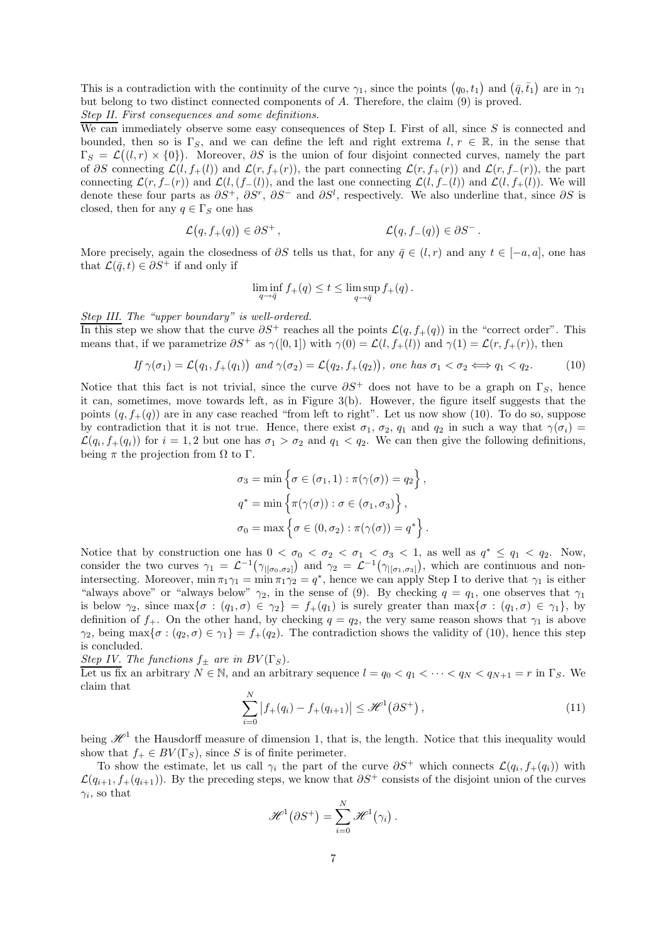This is a contradiction with the continuity of the curve  $\gamma_1$ , since the points  $(q_0, t_1)$  and  $(\bar{q}, \bar{t}_1)$  are in  $\gamma_1$ but belong to two distinct connected components of A. Therefore, the claim (9) is proved. *Step II. First consequences and some definitions.*

We can immediately observe some easy consequences of Step I. First of all, since S is connected and bounded, then so is  $\Gamma_S$ , and we can define the left and right extrema  $l, r \in \mathbb{R}$ , in the sense that  $\Gamma_S = \mathcal{L}((l,r) \times \{0\})$ . Moreover,  $\partial S$  is the union of four disjoint connected curves, namely the part of ∂S connecting  $\mathcal{L}(l, f_+(l))$  and  $\mathcal{L}(r, f_+(r))$ , the part connecting  $\mathcal{L}(r, f_+(r))$  and  $\mathcal{L}(r, f_-(r))$ , the part connecting  $\mathcal{L}(r, f_-(r))$  and  $\mathcal{L}(l, (f_-(l))$ , and the last one connecting  $\mathcal{L}(l, f_-(l))$  and  $\mathcal{L}(l, f_+(l))$ . We will denote these four parts as  $\partial S^+$ ,  $\partial S^r$ ,  $\partial S^-$  and  $\partial S^l$ , respectively. We also underline that, since  $\partial S$  is closed, then for any  $q \in \Gamma_S$  one has

$$
\mathcal{L}(q, f_+(q)) \in \partial S^+, \qquad \mathcal{L}(q, f_-(q)) \in \partial S^-.
$$

More precisely, again the closedness of  $\partial S$  tells us that, for any  $\bar{q} \in (l, r)$  and any  $t \in [-a, a]$ , one has that  $\mathcal{L}(\bar{q}, t) \in \partial S^+$  if and only if

$$
\liminf_{q \to \bar{q}} f_+(q) \le t \le \limsup_{q \to \bar{q}} f_+(q) .
$$

*Step III. The "upper boundary" is well-ordered.*

In this step we show that the curve  $\partial S^+$  reaches all the points  $\mathcal{L}(q, f_+(q))$  in the "correct order". This means that, if we parametrize  $\partial S^+$  as  $\gamma([0,1])$  with  $\gamma(0) = \mathcal{L}(l, f_+(l))$  and  $\gamma(1) = \mathcal{L}(r, f_+(r))$ , then

$$
If \gamma(\sigma_1) = \mathcal{L}(q_1, f_+(q_1)) \text{ and } \gamma(\sigma_2) = \mathcal{L}(q_2, f_+(q_2)), \text{ one has } \sigma_1 < \sigma_2 \Longleftrightarrow q_1 < q_2. \tag{10}
$$

Notice that this fact is not trivial, since the curve  $\partial S^+$  does not have to be a graph on  $\Gamma_S$ , hence it can, sometimes, move towards left, as in Figure 3(b). However, the figure itself suggests that the points  $(q, f_+(q))$  are in any case reached "from left to right". Let us now show (10). To do so, suppose by contradiction that it is not true. Hence, there exist  $\sigma_1$ ,  $\sigma_2$ ,  $\sigma_1$  and  $\sigma_2$  in such a way that  $\gamma(\sigma_i)$  =  $\mathcal{L}(q_i, f_+(q_i))$  for  $i = 1, 2$  but one has  $\sigma_1 > \sigma_2$  and  $q_1 < q_2$ . We can then give the following definitions, being  $\pi$  the projection from  $\Omega$  to  $\Gamma$ .

$$
\sigma_3 = \min \left\{ \sigma \in (\sigma_1, 1) : \pi(\gamma(\sigma)) = q_2 \right\},\
$$

$$
q^* = \min \left\{ \pi(\gamma(\sigma)) : \sigma \in (\sigma_1, \sigma_3) \right\},\
$$

$$
\sigma_0 = \max \left\{ \sigma \in (0, \sigma_2) : \pi(\gamma(\sigma)) = q^* \right\}.
$$

Notice that by construction one has  $0 < \sigma_0 < \sigma_2 < \sigma_1 < \sigma_3 < 1$ , as well as  $q^* \leq q_1 < q_2$ . Now, consider the two curves  $\gamma_1 = \mathcal{L}^{-1}(\gamma_{\mid [\sigma_0, \sigma_2]})$  and  $\gamma_2 = \mathcal{L}^{-1}(\gamma_{\mid [\sigma_1, \sigma_3]})$ , which are continuous and nonintersecting. Moreover,  $\min \pi_1 \gamma_1 = \min \pi_1 \gamma_2 = q^*$ , hence we can apply Step I to derive that  $\gamma_1$  is either "always above" or "always below"  $\gamma_2$ , in the sense of (9). By checking  $q = q_1$ , one observes that  $\gamma_1$ is below  $\gamma_2$ , since  $\max{\sigma : (q_1, \sigma) \in \gamma_2} = f_+(q_1)$  is surely greater than  $\max{\sigma : (q_1, \sigma) \in \gamma_1}$ , by definition of  $f_+$ . On the other hand, by checking  $q = q_2$ , the very same reason shows that  $\gamma_1$  is above  $\gamma_2$ , being max $\{\sigma : (q_2, \sigma) \in \gamma_1\} = f_+(q_2)$ . The contradiction shows the validity of (10), hence this step is concluded.

*Step IV. The functions*  $f_{\pm}$  *are in BV* ( $\Gamma_S$ ).

Let us fix an arbitrary  $N \in \mathbb{N}$ , and an arbitrary sequence  $l = q_0 < q_1 < \cdots < q_N < q_{N+1} = r$  in  $\Gamma_S$ . We claim that

$$
\sum_{i=0}^{N} |f_{+}(q_{i}) - f_{+}(q_{i+1})| \leq \mathcal{H}^{1}(\partial S^{+}), \qquad (11)
$$

being  $\mathscr{H}^1$  the Hausdorff measure of dimension 1, that is, the length. Notice that this inequality would show that  $f_+ \in BV(\Gamma_S)$ , since S is of finite perimeter.

To show the estimate, let us call  $\gamma_i$  the part of the curve  $\partial S^+$  which connects  $\mathcal{L}(q_i, f_+(q_i))$  with  $\mathcal{L}(q_{i+1}, f_+(q_{i+1}))$ . By the preceding steps, we know that  $\partial S^+$  consists of the disjoint union of the curves  $\gamma_i$ , so that

$$
\mathscr{H}^1(\partial S^+) = \sum_{i=0}^N \mathscr{H}^1(\gamma_i).
$$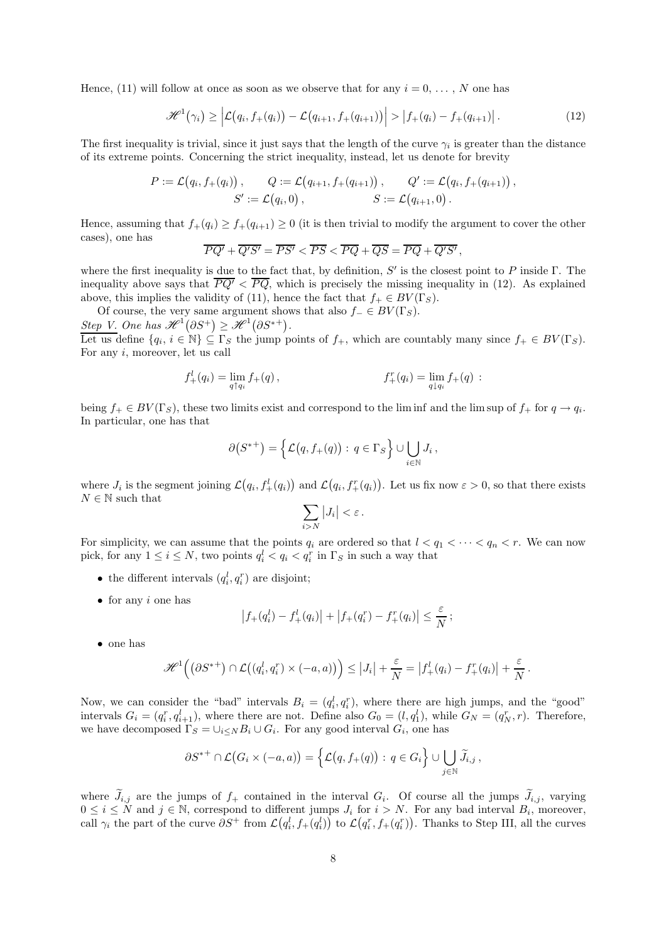Hence, (11) will follow at once as soon as we observe that for any  $i = 0, \ldots, N$  one has

$$
\mathscr{H}^1(\gamma_i) \geq \left| \mathcal{L}(q_i, f_+(q_i)) - \mathcal{L}(q_{i+1}, f_+(q_{i+1})) \right| > \left| f_+(q_i) - f_+(q_{i+1}) \right|.
$$
 (12)

The first inequality is trivial, since it just says that the length of the curve  $\gamma_i$  is greater than the distance of its extreme points. Concerning the strict inequality, instead, let us denote for brevity

$$
P := \mathcal{L}(q_i, f_+(q_i)), \qquad Q := \mathcal{L}(q_{i+1}, f_+(q_{i+1})), \qquad Q' := \mathcal{L}(q_i, f_+(q_{i+1})),
$$
  

$$
S' := \mathcal{L}(q_i, 0), \qquad S := \mathcal{L}(q_{i+1}, 0).
$$

Hence, assuming that  $f_+(q_i) \geq f_+(q_{i+1}) \geq 0$  (it is then trivial to modify the argument to cover the other cases), one has

$$
\overline{PQ'} + \overline{Q'S'} = \overline{PS'} < \overline{PS} < \overline{PQ} + \overline{QS} = \overline{PQ} + \overline{Q'S'},
$$

where the first inequality is due to the fact that, by definition,  $S'$  is the closest point to P inside  $\Gamma$ . The inequality above says that  $\overline{PQ'} < \overline{PQ}$ , which is precisely the missing inequality in (12). As explained above, this implies the validity of (11), hence the fact that  $f_+ \in BV(\Gamma_S)$ .

Of course, the very same argument shows that also  $f_-\in BV(\Gamma_S)$ . Step V. One has  $\mathscr{H}^1(\partial S^+) \geq \mathscr{H}^1(\partial S^{*+})$ .

Let us define  $\{q_i, i \in \mathbb{N}\} \subseteq \Gamma_S$  the jump points of  $f_+$ , which are countably many since  $f_+ \in BV(\Gamma_S)$ . For any i, moreover, let us call

$$
f_+^l(q_i) = \lim_{q \uparrow q_i} f_+(q) , \qquad f_+^r(q_i) = \lim_{q \downarrow q_i} f_+(q) :
$$

being  $f_+ \in BV(\Gamma_S)$ , these two limits exist and correspond to the lim inf and the lim sup of  $f_+$  for  $q \to q_i$ . In particular, one has that

$$
\partial(S^{*+}) = \left\{ \mathcal{L}(q, f_+(q)) : q \in \Gamma_S \right\} \cup \bigcup_{i \in \mathbb{N}} J_i,
$$

where  $J_i$  is the segment joining  $\mathcal{L}(q_i, f_+^l(q_i))$  and  $\mathcal{L}(q_i, f_+^r(q_i))$ . Let us fix now  $\varepsilon > 0$ , so that there exists  $N \in \mathbb{N}$  such that

$$
\sum_{i>N}|J_i|<\varepsilon\,.
$$

For simplicity, we can assume that the points  $q_i$  are ordered so that  $l < q_1 < \cdots < q_n < r$ . We can now pick, for any  $1 \leq i \leq N$ , two points  $q_i^l < q_i < q_i^r$  in  $\Gamma_S$  in such a way that

- the different intervals  $(q_i^l, q_i^r)$  are disjoint;
- $\bullet$  for any *i* one has

$$
\left|f_{+}(q_i^l) - f_{+}^l(q_i)\right| + \left|f_{+}(q_i^r) - f_{+}^r(q_i)\right| \leq \frac{\varepsilon}{N};
$$

• one has

$$
\mathscr{H}^1((\partial S^{*+}) \cap \mathcal{L}((q_i^l, q_i^r) \times (-a, a)) \Big) \leq |J_i| + \frac{\varepsilon}{N} = |f_+^l(q_i) - f_+^r(q_i)| + \frac{\varepsilon}{N}.
$$

Now, we can consider the "bad" intervals  $B_i = (q_i^l, q_i^r)$ , where there are high jumps, and the "good" intervals  $G_i = (q_i^r, q_{i+1}^l)$ , where there are not. Define also  $G_0 = (l, q_1^l)$ , while  $G_N = (q_N^r, r)$ . Therefore, we have decomposed  $\Gamma_S = \cup_{i \leq N} B_i \cup G_i$ . For any good interval  $G_i$ , one has

$$
\partial S^{*+} \cap \mathcal{L}(G_i \times (-a,a)) = \left\{ \mathcal{L}(q, f_+(q)) : q \in G_i \right\} \cup \bigcup_{j \in \mathbb{N}} \widetilde{J}_{i,j},
$$

where  $J_{i,j}$  are the jumps of  $f_+$  contained in the interval  $G_i$ . Of course all the jumps  $J_{i,j}$ , varying  $0 \leq i \leq N$  and  $j \in \mathbb{N}$ , correspond to different jumps  $J_i$  for  $i > N$ . For any bad interval  $B_i$ , moreover, call  $\gamma_i$  the part of the curve  $\partial S^+$  from  $\mathcal{L}(q_i^l, f_+(q_i^l))$  to  $\mathcal{L}(q_i^r, f_+(q_i^r))$ . Thanks to Step III, all the curves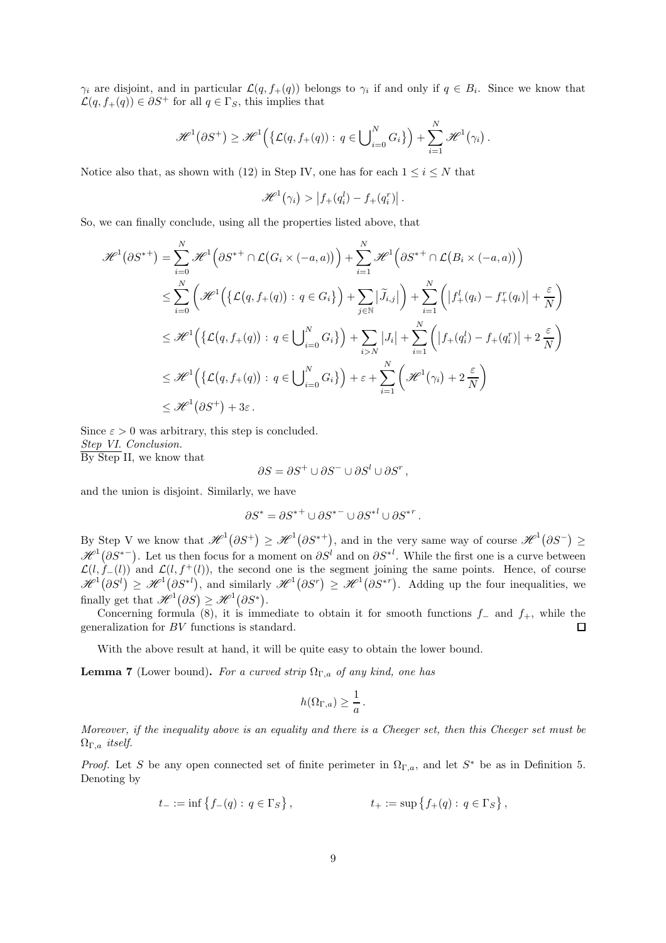$\gamma_i$  are disjoint, and in particular  $\mathcal{L}(q, f_+(q))$  belongs to  $\gamma_i$  if and only if  $q \in B_i$ . Since we know that  $\mathcal{L}(q, f_+(q)) \in \partial S^+$  for all  $q \in \Gamma_S$ , this implies that

$$
\mathscr{H}^1(\partial S^+) \geq \mathscr{H}^1\Big(\big\{\mathcal{L}(q,f_+(q)):\,q\in \bigcup\nolimits_{i=0}^N G_i\big\}\Big) + \sum_{i=1}^N \mathscr{H}^1(\gamma_i).
$$

Notice also that, as shown with (12) in Step IV, one has for each  $1 \leq i \leq N$  that

$$
\mathscr{H}^1(\gamma_i) > |f_+(q_i^l) - f_+(q_i^r)|.
$$

So, we can finally conclude, using all the properties listed above, that

$$
\mathcal{H}^{1}(\partial S^{*+}) = \sum_{i=0}^{N} \mathcal{H}^{1}(\partial S^{*+} \cap \mathcal{L}(G_{i} \times (-a, a))) + \sum_{i=1}^{N} \mathcal{H}^{1}(\partial S^{*+} \cap \mathcal{L}(B_{i} \times (-a, a)))
$$
  
\n
$$
\leq \sum_{i=0}^{N} \left( \mathcal{H}^{1}(\{\mathcal{L}(q, f_{+}(q)) : q \in G_{i}\}) + \sum_{j \in \mathbb{N}} |\widetilde{J}_{i,j}| \right) + \sum_{i=1}^{N} (|f_{+}^{l}(q_{i}) - f_{+}^{r}(q_{i})| + \frac{\varepsilon}{N})
$$
  
\n
$$
\leq \mathcal{H}^{1}(\{\mathcal{L}(q, f_{+}(q)) : q \in \bigcup_{i=0}^{N} G_{i}\}) + \sum_{i>N} |J_{i}| + \sum_{i=1}^{N} (|f_{+}(q_{i}^{l}) - f_{+}(q_{i}^{r})| + 2 \frac{\varepsilon}{N})
$$
  
\n
$$
\leq \mathcal{H}^{1}(\{\mathcal{L}(q, f_{+}(q)) : q \in \bigcup_{i=0}^{N} G_{i}\}) + \varepsilon + \sum_{i=1}^{N} (\mathcal{H}^{1}(\gamma_{i}) + 2 \frac{\varepsilon}{N})
$$
  
\n
$$
\leq \mathcal{H}^{1}(\partial S^{+}) + 3\varepsilon.
$$

Since  $\varepsilon > 0$  was arbitrary, this step is concluded. *Step VI. Conclusion.* By Step II, we know that

$$
\partial S = \partial S^+ \cup \partial S^- \cup \partial S^l \cup \partial S^r,
$$

and the union is disjoint. Similarly, we have

$$
\partial S^* = \partial S^{*+} \cup \partial S^{*-} \cup \partial S^{*l} \cup \partial S^{*r}.
$$

By Step V we know that  $\mathscr{H}^1(\partial S^+) \geq \mathscr{H}^1(\partial S^{*+})$ , and in the very same way of course  $\mathscr{H}^1(\partial S^-) \geq$  $\mathscr{H}^1(\partial S^{*-})$ . Let us then focus for a moment on  $\partial S^l$  and on  $\partial S^{*l}$ . While the first one is a curve between  $\mathcal{L}(l, f_{-}(l))$  and  $\mathcal{L}(l, f^{+}(l))$ , the second one is the segment joining the same points. Hence, of course  $\mathscr{H}^1(\partial S^l) \geq \mathscr{H}^1(\partial S^{*l})$ , and similarly  $\mathscr{H}^1(\partial S^r) \geq \mathscr{H}^1(\partial S^{*r})$ . Adding up the four inequalities, we finally get that  $\mathscr{H}^1(\partial S) \geq \mathscr{H}^1(\partial S^*)$ .

Concerning formula (8), it is immediate to obtain it for smooth functions  $f_$  and  $f_+$ , while the generalization for BV functions is standard.  $\Box$ 

With the above result at hand, it will be quite easy to obtain the lower bound.

**Lemma 7** (Lower bound). *For a curved strip*  $\Omega_{\Gamma,a}$  *of any kind, one has* 

$$
h(\Omega_{\Gamma,a}) \geq \frac{1}{a}.
$$

*Moreover, if the inequality above is an equality and there is a Cheeger set, then this Cheeger set must be* ΩΓ,a *itself.*

*Proof.* Let S be any open connected set of finite perimeter in  $\Omega_{\Gamma,a}$ , and let S<sup>\*</sup> be as in Definition 5. Denoting by

$$
t_{-} := \inf \{ f_{-}(q) : q \in \Gamma_{S} \},
$$
  $t_{+} := \sup \{ f_{+}(q) : q \in \Gamma_{S} \},$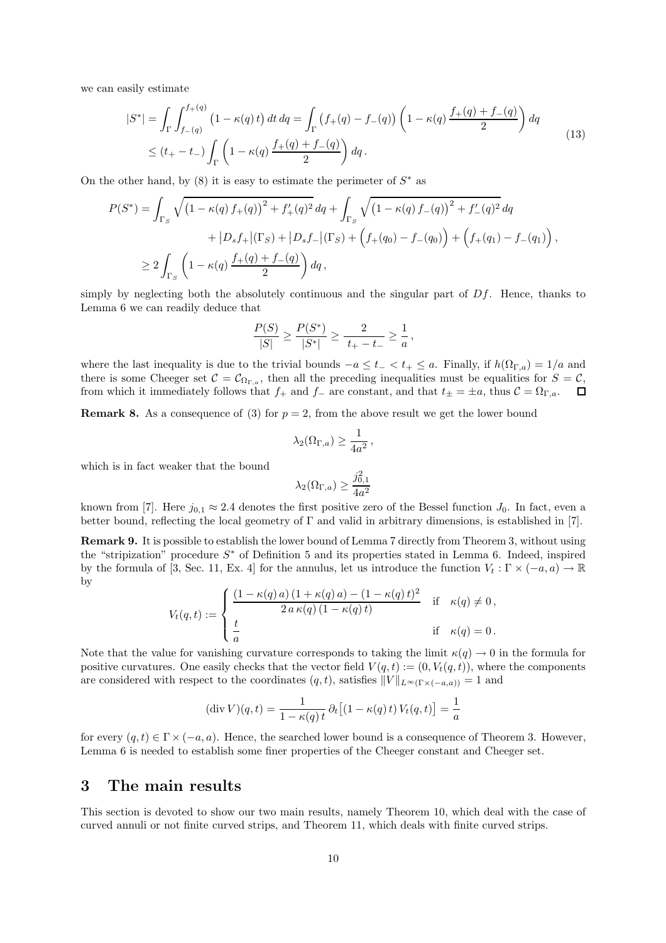we can easily estimate

$$
|S^*| = \int_{\Gamma} \int_{f-(q)}^{f+(q)} (1 - \kappa(q)t) dt dq = \int_{\Gamma} (f+(q) - f-(q)) \left(1 - \kappa(q) \frac{f+(q) + f-(q)}{2}\right) dq
$$
  
 
$$
\leq (t_+ - t_-) \int_{\Gamma} \left(1 - \kappa(q) \frac{f+(q) + f-(q)}{2}\right) dq.
$$
 (13)

On the other hand, by  $(8)$  it is easy to estimate the perimeter of  $S^*$  as

$$
P(S^*) = \int_{\Gamma_S} \sqrt{\left(1 - \kappa(q) f_+(q)\right)^2 + f'_+(q)^2} \, dq + \int_{\Gamma_S} \sqrt{\left(1 - \kappa(q) f_-(q)\right)^2 + f'_-(q)^2} \, dq
$$
  
+ 
$$
|D_s f_+|(\Gamma_S) + |D_s f_-|(\Gamma_S) + \left(f_+(q_0) - f_-(q_0)\right) + \left(f_+(q_1) - f_-(q_1)\right),
$$
  

$$
\geq 2 \int_{\Gamma_S} \left(1 - \kappa(q) \frac{f_+(q) + f_-(q)}{2}\right) dq,
$$

simply by neglecting both the absolutely continuous and the singular part of  $Df$ . Hence, thanks to Lemma 6 we can readily deduce that

$$
\frac{P(S)}{|S|} \ge \frac{P(S^*)}{|S^*|} \ge \frac{2}{t_+ - t_-} \ge \frac{1}{a},
$$

where the last inequality is due to the trivial bounds  $-a \leq t_- < t_+ \leq a$ . Finally, if  $h(\Omega_{\Gamma,a}) = 1/a$  and there is some Cheeger set  $\mathcal{C} = \mathcal{C}_{\Omega_{\Gamma,a}}$ , then all the preceding inequalities must be equalities for  $S = \mathcal{C}$ , from which it immediately follows that  $f_+$  and  $f_-\$  are constant, and that  $t_{\pm} = \pm a$ , thus  $\mathcal{C} = \Omega_{\Gamma,a}$ .  $\Box$ 

**Remark 8.** As a consequence of (3) for  $p = 2$ , from the above result we get the lower bound

$$
\lambda_2(\Omega_{\Gamma,a}) \ge \frac{1}{4a^2},
$$

which is in fact weaker that the bound

$$
\lambda_2(\Omega_{\Gamma,a}) \ge \frac{j_{0,1}^2}{4a^2}
$$

known from [7]. Here  $j_{0,1} \approx 2.4$  denotes the first positive zero of the Bessel function  $J_0$ . In fact, even a better bound, reflecting the local geometry of  $\Gamma$  and valid in arbitrary dimensions, is established in [7].

Remark 9. It is possible to establish the lower bound of Lemma 7 directly from Theorem 3, without using the "stripization" procedure S <sup>∗</sup> of Definition 5 and its properties stated in Lemma 6. Indeed, inspired by the formula of [3, Sec. 11, Ex. 4] for the annulus, let us introduce the function  $V_t : \Gamma \times (-a, a) \to \mathbb{R}$ by

$$
V_t(q,t) := \begin{cases} \frac{(1 - \kappa(q) a) (1 + \kappa(q) a) - (1 - \kappa(q) t)^2}{2 a \kappa(q) (1 - \kappa(q) t)} & \text{if } \kappa(q) \neq 0, \\ \frac{t}{a} & \text{if } \kappa(q) = 0. \end{cases}
$$

Note that the value for vanishing curvature corresponds to taking the limit  $\kappa(q) \to 0$  in the formula for positive curvatures. One easily checks that the vector field  $V(q,t) := (0, V_t(q,t))$ , where the components are considered with respect to the coordinates  $(q, t)$ , satisfies  $||V||_{L^{\infty}(\Gamma \times (-a,a))} = 1$  and

$$
(\operatorname{div} V)(q,t) = \frac{1}{1 - \kappa(q)t} \partial_t \left[ (1 - \kappa(q)t) V_t(q,t) \right] = \frac{1}{a}
$$

for every  $(q, t) \in \Gamma \times (-a, a)$ . Hence, the searched lower bound is a consequence of Theorem 3. However, Lemma 6 is needed to establish some finer properties of the Cheeger constant and Cheeger set.

### 3 The main results

This section is devoted to show our two main results, namely Theorem 10, which deal with the case of curved annuli or not finite curved strips, and Theorem 11, which deals with finite curved strips.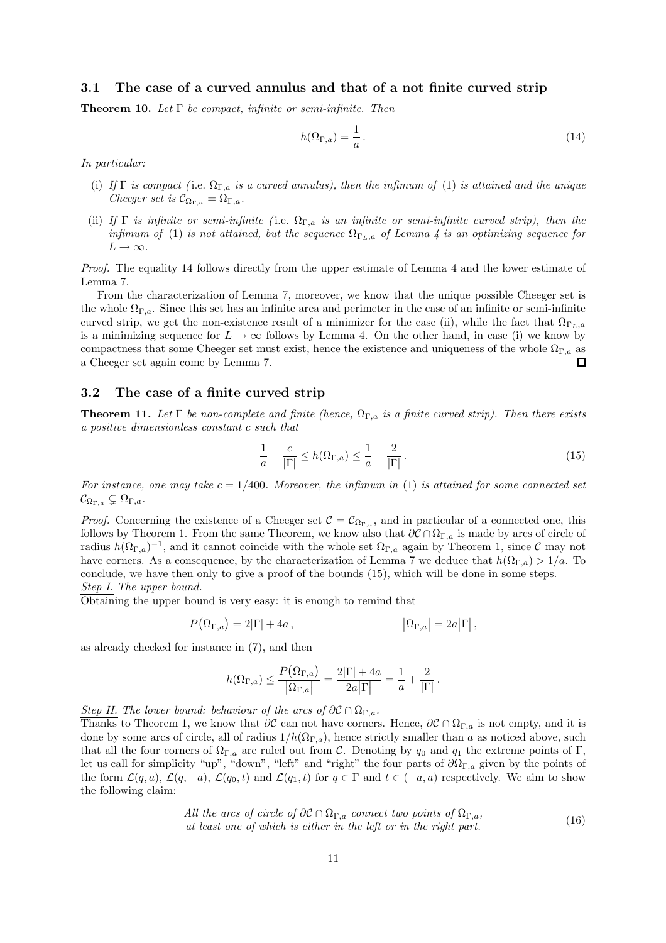#### 3.1 The case of a curved annulus and that of a not finite curved strip

Theorem 10. *Let* Γ *be compact, infinite or semi-infinite. Then*

$$
h(\Omega_{\Gamma,a}) = \frac{1}{a} \,. \tag{14}
$$

*In particular:*

- (i) *If* Γ *is compact (* i.e. ΩΓ,a *is a curved annulus), then the infimum of* (1) *is attained and the unique Cheeger set is*  $C_{\Omega_{\Gamma,a}} = \Omega_{\Gamma,a}$ .
- (ii) If  $\Gamma$  *is infinite or semi-infinite* (i.e.  $\Omega_{\Gamma,a}$  *is an infinite or semi-infinite curved strip), then the infimum of* (1) *is not attained, but the sequence*  $\Omega_{\Gamma_L,a}$  *of Lemma 4 is an optimizing sequence for*  $L \rightarrow \infty$ .

*Proof.* The equality 14 follows directly from the upper estimate of Lemma 4 and the lower estimate of Lemma 7.

From the characterization of Lemma 7, moreover, we know that the unique possible Cheeger set is the whole  $\Omega_{\Gamma,a}$ . Since this set has an infinite area and perimeter in the case of an infinite or semi-infinite curved strip, we get the non-existence result of a minimizer for the case (ii), while the fact that  $\Omega_{\Gamma_{L},a}$ is a minimizing sequence for  $L \to \infty$  follows by Lemma 4. On the other hand, in case (i) we know by compactness that some Cheeger set must exist, hence the existence and uniqueness of the whole  $\Omega_{\Gamma,a}$  as a Cheeger set again come by Lemma 7. a Cheeger set again come by Lemma 7.

#### 3.2 The case of a finite curved strip

**Theorem 11.** Let  $\Gamma$  *be non-complete and finite (hence,*  $\Omega_{\Gamma,a}$  *is a finite curved strip). Then there exists a positive dimensionless constant* c *such that*

$$
\frac{1}{a} + \frac{c}{|\Gamma|} \le h(\Omega_{\Gamma,a}) \le \frac{1}{a} + \frac{2}{|\Gamma|}.
$$
\n(15)

For instance, one may take  $c = 1/400$ . Moreover, the infimum in (1) is attained for some connected set  $\mathcal{C}_{\Omega_{\Gamma,a}} \subsetneq \Omega_{\Gamma,a}$ .

*Proof.* Concerning the existence of a Cheeger set  $C = C_{\Omega_{\Gamma,a}}$ , and in particular of a connected one, this follows by Theorem 1. From the same Theorem, we know also that  $\partial \mathcal{C} \cap \Omega_{\Gamma,a}$  is made by arcs of circle of radius  $h(\Omega_{\Gamma,a})^{-1}$ , and it cannot coincide with the whole set  $\Omega_{\Gamma,a}$  again by Theorem 1, since  $\mathcal C$  may not have corners. As a consequence, by the characterization of Lemma 7 we deduce that  $h(\Omega_{\Gamma,a}) > 1/a$ . To conclude, we have then only to give a proof of the bounds (15), which will be done in some steps. *Step I. The upper bound.*

Obtaining the upper bound is very easy: it is enough to remind that

$$
P\big(\Omega_{\Gamma,a}\big)=2|\Gamma|+4a\,,\qquad \qquad \left|\Omega_{\Gamma,a}\right|=2a\big|\Gamma\big|\,,
$$

as already checked for instance in (7), and then

$$
h(\Omega_{\Gamma,a}) \leq \frac{P\big(\Omega_{\Gamma,a}\big)}{|\Omega_{\Gamma,a}|} = \frac{2|\Gamma|+4a}{2a|\Gamma|} = \frac{1}{a} + \frac{2}{|\Gamma|}.
$$

*Step II. The lower bound: behaviour of the arcs of*  $\partial \mathcal{C} \cap \Omega_{\Gamma,a}$ *.* 

Thanks to Theorem 1, we know that  $\partial C$  can not have corners. Hence,  $\partial C \cap \Omega_{\Gamma,a}$  is not empty, and it is done by some arcs of circle, all of radius  $1/h(\Omega_{\Gamma,a})$ , hence strictly smaller than a as noticed above, such that all the four corners of  $\Omega_{\Gamma,a}$  are ruled out from C. Denoting by  $q_0$  and  $q_1$  the extreme points of Γ, let us call for simplicity "up", "down", "left" and "right" the four parts of  $\partial\Omega_{\Gamma,a}$  given by the points of the form  $\mathcal{L}(q, a), \mathcal{L}(q, -a), \mathcal{L}(q_0, t)$  and  $\mathcal{L}(q_1, t)$  for  $q \in \Gamma$  and  $t \in (-a, a)$  respectively. We aim to show the following claim:

All the arcs of circle of 
$$
\partial C \cap \Omega_{\Gamma,a}
$$
 connect two points of  $\Omega_{\Gamma,a}$ ,  
at least one of which is either in the left or in the right part. (16)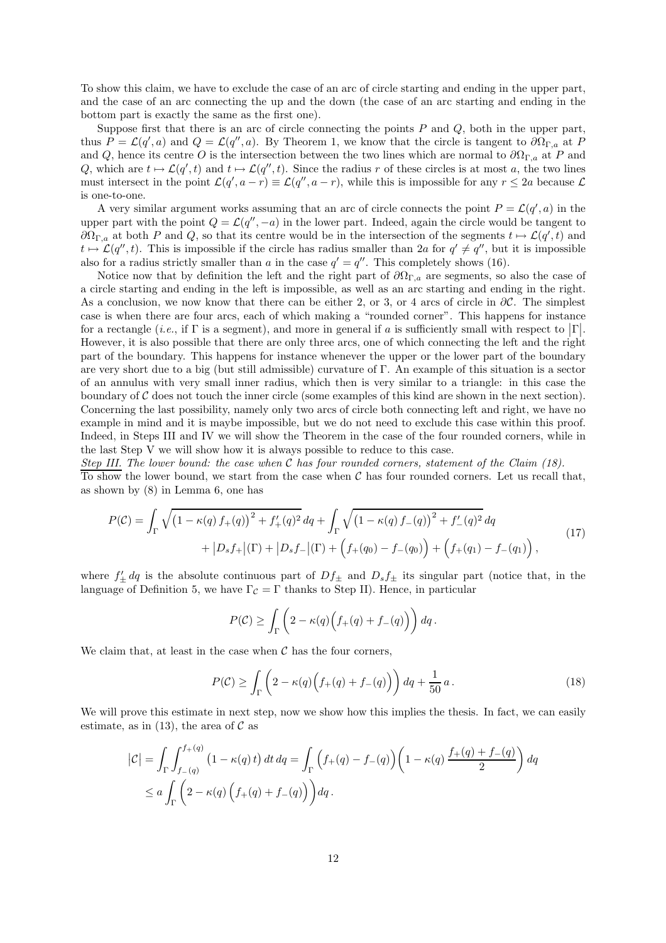To show this claim, we have to exclude the case of an arc of circle starting and ending in the upper part, and the case of an arc connecting the up and the down (the case of an arc starting and ending in the bottom part is exactly the same as the first one).

Suppose first that there is an arc of circle connecting the points  $P$  and  $Q$ , both in the upper part, thus  $P = \mathcal{L}(q', a)$  and  $Q = \mathcal{L}(q'', a)$ . By Theorem 1, we know that the circle is tangent to  $\partial \Omega_{\Gamma, a}$  at P and Q, hence its centre O is the intersection between the two lines which are normal to  $\partial\Omega_{\Gamma,a}$  at P and Q, which are  $t \mapsto \mathcal{L}(q', t)$  and  $t \mapsto \mathcal{L}(q'', t)$ . Since the radius r of these circles is at most a, the two lines must intersect in the point  $\mathcal{L}(q', a - r) \equiv \mathcal{L}(q'', a - r)$ , while this is impossible for any  $r \leq 2a$  because  $\mathcal{L}$ is one-to-one.

A very similar argument works assuming that an arc of circle connects the point  $P = \mathcal{L}(q', a)$  in the upper part with the point  $Q = \mathcal{L}(q'', -a)$  in the lower part. Indeed, again the circle would be tangent to  $\partial\Omega_{\Gamma,a}$  at both P and Q, so that its centre would be in the intersection of the segments  $t \mapsto \mathcal{L}(q',t)$  and  $t \mapsto \mathcal{L}(q'', t)$ . This is impossible if the circle has radius smaller than 2a for  $q' \neq q''$ , but it is impossible also for a radius strictly smaller than a in the case  $q' = q''$ . This completely shows (16).

Notice now that by definition the left and the right part of  $\partial\Omega_{\Gamma,a}$  are segments, so also the case of a circle starting and ending in the left is impossible, as well as an arc starting and ending in the right. As a conclusion, we now know that there can be either 2, or 3, or 4 arcs of circle in  $\partial \mathcal{C}$ . The simplest case is when there are four arcs, each of which making a "rounded corner". This happens for instance for a rectangle (*i.e.*, if  $\Gamma$  is a segment), and more in general if a is sufficiently small with respect to  $|\Gamma|$ . However, it is also possible that there are only three arcs, one of which connecting the left and the right part of the boundary. This happens for instance whenever the upper or the lower part of the boundary are very short due to a big (but still admissible) curvature of Γ. An example of this situation is a sector of an annulus with very small inner radius, which then is very similar to a triangle: in this case the boundary of  $\mathcal C$  does not touch the inner circle (some examples of this kind are shown in the next section). Concerning the last possibility, namely only two arcs of circle both connecting left and right, we have no example in mind and it is maybe impossible, but we do not need to exclude this case within this proof. Indeed, in Steps III and IV we will show the Theorem in the case of the four rounded corners, while in the last Step V we will show how it is always possible to reduce to this case.

*Step III. The lower bound: the case when* C *has four rounded corners, statement of the Claim (18).* To show the lower bound, we start from the case when  $C$  has four rounded corners. Let us recall that, as shown by (8) in Lemma 6, one has

$$
P(C) = \int_{\Gamma} \sqrt{\left(1 - \kappa(q) f_{+}(q)\right)^{2} + f'_{+}(q)^{2}} dq + \int_{\Gamma} \sqrt{\left(1 - \kappa(q) f_{-}(q)\right)^{2} + f'_{-}(q)^{2}} dq + |D_{s} f_{+}|(\Gamma) + |D_{s} f_{-}|(\Gamma) + \left(f_{+}(q_{0}) - f_{-}(q_{0})\right) + \left(f_{+}(q_{1}) - f_{-}(q_{1})\right),
$$
\n(17)

where  $f'_{\pm} dq$  is the absolute continuous part of  $Df_{\pm}$  and  $D_s f_{\pm}$  its singular part (notice that, in the language of Definition 5, we have  $\Gamma_{\mathcal{C}} = \Gamma$  thanks to Step II). Hence, in particular

$$
P(\mathcal{C}) \ge \int_{\Gamma} \left(2 - \kappa(q) \Big(f_+(q) + f_-(q)\Big)\right) dq.
$$

We claim that, at least in the case when  $\mathcal C$  has the four corners,

$$
P(\mathcal{C}) \ge \int_{\Gamma} \left( 2 - \kappa(q) \left( f_+(q) + f_-(q) \right) \right) dq + \frac{1}{50} a. \tag{18}
$$

We will prove this estimate in next step, now we show how this implies the thesis. In fact, we can easily estimate, as in (13), the area of  $\mathcal C$  as

$$
\begin{aligned} \left| \mathcal{C} \right| &= \int_{\Gamma} \int_{f-(q)}^{f+(q)} \left( 1 - \kappa(q) \, t \right) dt \, dq = \int_{\Gamma} \left( f_+(q) - f_-(q) \right) \left( 1 - \kappa(q) \, \frac{f_+(q) + f_-(q)}{2} \right) dq \\ &\leq a \int_{\Gamma} \left( 2 - \kappa(q) \left( f_+(q) + f_-(q) \right) \right) dq \, . \end{aligned}
$$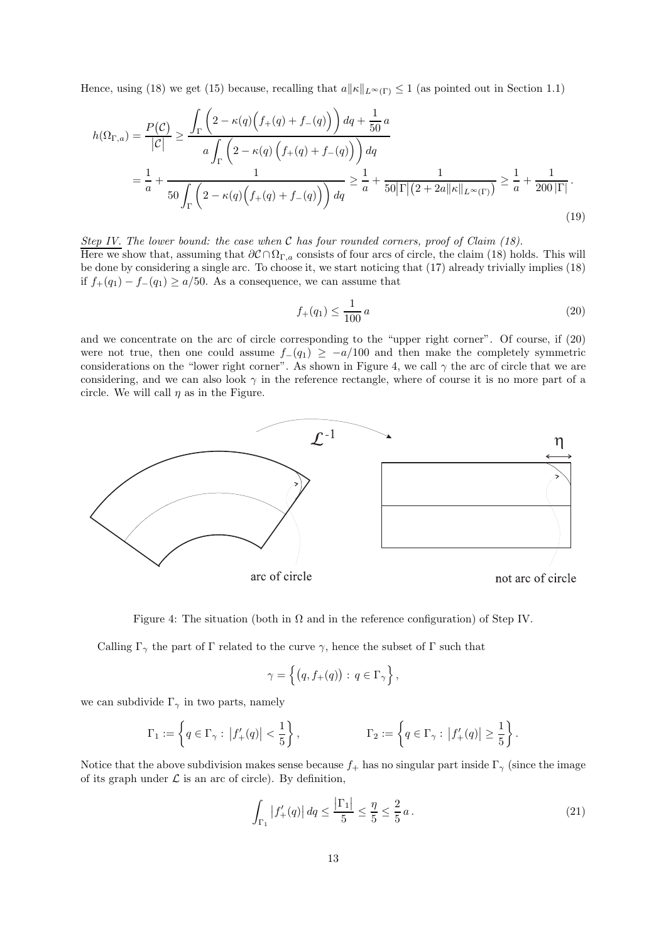Hence, using (18) we get (15) because, recalling that  $a||\kappa||_{L^{\infty}(\Gamma)} \leq 1$  (as pointed out in Section 1.1)

$$
h(\Omega_{\Gamma,a}) = \frac{P(\mathcal{C})}{|\mathcal{C}|} \ge \frac{\int_{\Gamma} \left(2 - \kappa(q) \left(f_+(q) + f_-(q)\right)\right) dq + \frac{1}{50} a}{a \int_{\Gamma} \left(2 - \kappa(q) \left(f_+(q) + f_-(q)\right)\right) dq}
$$
  
=  $\frac{1}{a} + \frac{1}{50 \int_{\Gamma} \left(2 - \kappa(q) \left(f_+(q) + f_-(q)\right)\right) dq} \ge \frac{1}{a} + \frac{1}{50|\Gamma|(2 + 2a||\kappa||_{L^{\infty}(\Gamma)})} \ge \frac{1}{a} + \frac{1}{200|\Gamma|}.$  (19)

*Step IV. The lower bound: the case when* C *has four rounded corners, proof of Claim (18).* Here we show that, assuming that  $\partial \mathcal{C} \cap \Omega_{\Gamma,a}$  consists of four arcs of circle, the claim (18) holds. This will be done by considering a single arc. To choose it, we start noticing that (17) already trivially implies (18) if  $f_{+}(q_1) - f_{-}(q_1) \geq a/50$ . As a consequence, we can assume that

$$
f_{+}(q_{1}) \le \frac{1}{100} a \tag{20}
$$

and we concentrate on the arc of circle corresponding to the "upper right corner". Of course, if (20) were not true, then one could assume  $f-(q_1) \geq -a/100$  and then make the completely symmetric considerations on the "lower right corner". As shown in Figure 4, we call  $\gamma$  the arc of circle that we are considering, and we can also look  $\gamma$  in the reference rectangle, where of course it is no more part of a circle. We will call  $\eta$  as in the Figure.



Figure 4: The situation (both in  $\Omega$  and in the reference configuration) of Step IV.

Calling  $\Gamma_{\gamma}$  the part of  $\Gamma$  related to the curve  $\gamma$ , hence the subset of  $\Gamma$  such that

$$
\gamma = \left\{ \big( q, f_+(q) \big) : \, q \in \Gamma_{\gamma} \right\},
$$

we can subdivide  $\Gamma_{\gamma}$  in two parts, namely

$$
\Gamma_1:=\left\{q\in\Gamma_\gamma:\ \left|f'_+(q)\right|<\frac{1}{5}\right\},\qquad \qquad \Gamma_2:=\left\{q\in\Gamma_\gamma:\ \left|f'_+(q)\right|\geq\frac{1}{5}\right\}.
$$

Notice that the above subdivision makes sense because  $f_{+}$  has no singular part inside  $\Gamma_{\gamma}$  (since the image of its graph under  $\mathcal L$  is an arc of circle). By definition,

$$
\int_{\Gamma_1} |f'_+(q)| \, dq \le \frac{|\Gamma_1|}{5} \le \frac{\eta}{5} \le \frac{2}{5} \, a \,. \tag{21}
$$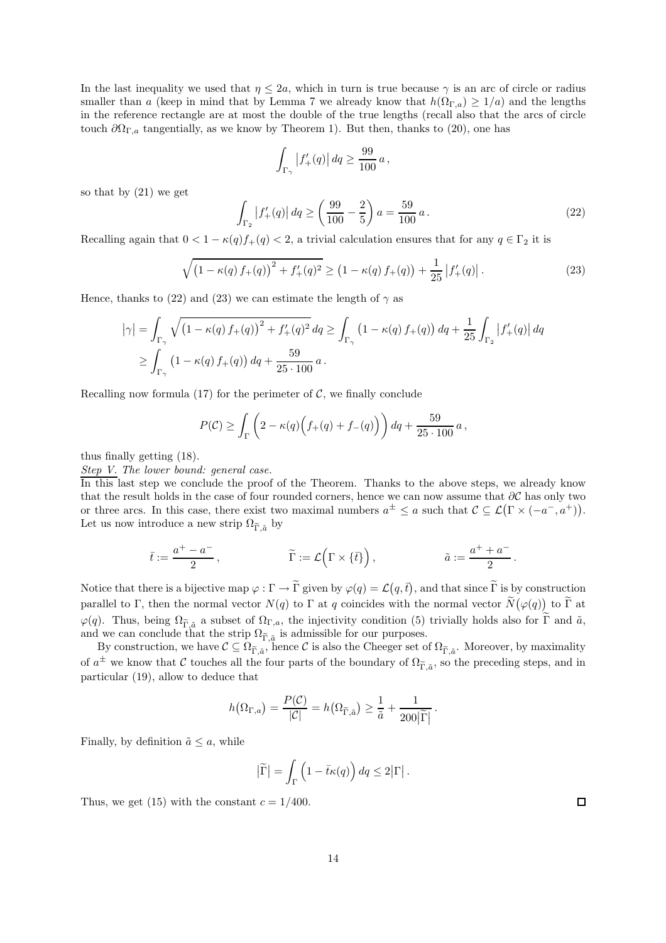In the last inequality we used that  $\eta \leq 2a$ , which in turn is true because  $\gamma$  is an arc of circle or radius smaller than a (keep in mind that by Lemma 7 we already know that  $h(\Omega_{\Gamma,a}) \geq 1/a$ ) and the lengths in the reference rectangle are at most the double of the true lengths (recall also that the arcs of circle touch  $\partial \Omega_{\Gamma,a}$  tangentially, as we know by Theorem 1). But then, thanks to (20), one has

$$
\int_{\Gamma_\gamma} \left|f'_+(q)\right| dq \geq \frac{99}{100}\,a\,,
$$

so that by (21) we get

$$
\int_{\Gamma_2} |f'_+(q)| \, dq \ge \left(\frac{99}{100} - \frac{2}{5}\right) a = \frac{59}{100} \, a \,. \tag{22}
$$

Recalling again that  $0 < 1 - \kappa(q) f_+(q) < 2$ , a trivial calculation ensures that for any  $q \in \Gamma_2$  it is

$$
\sqrt{\left(1 - \kappa(q) \, f_+(q)\right)^2 + f'_+(q)^2} \ge \left(1 - \kappa(q) \, f_+(q)\right) + \frac{1}{25} \left|f'_+(q)\right|.
$$
\n(23)

Hence, thanks to (22) and (23) we can estimate the length of  $\gamma$  as

$$
\begin{aligned} \left|\gamma\right| &= \int_{\Gamma_{\gamma}} \sqrt{\left(1 - \kappa(q) \, f_{+}(q)\right)^{2} + f'_{+}(q)^{2}} \, dq \ge \int_{\Gamma_{\gamma}} \left(1 - \kappa(q) \, f_{+}(q)\right) dq + \frac{1}{25} \int_{\Gamma_{2}} \left|f'_{+}(q)\right| dq \\ &\ge \int_{\Gamma_{\gamma}} \left(1 - \kappa(q) \, f_{+}(q)\right) dq + \frac{59}{25 \cdot 100} \, a \,. \end{aligned}
$$

Recalling now formula (17) for the perimeter of  $\mathcal{C}$ , we finally conclude

$$
P(C) \ge \int_{\Gamma} \left( 2 - \kappa(q) \left( f_+(q) + f_-(q) \right) \right) dq + \frac{59}{25 \cdot 100} a,
$$

thus finally getting (18).

*Step V. The lower bound: general case.*

In this last step we conclude the proof of the Theorem. Thanks to the above steps, we already know that the result holds in the case of four rounded corners, hence we can now assume that  $\partial C$  has only two or three arcs. In this case, there exist two maximal numbers  $a^{\pm} \le a$  such that  $\mathcal{C} \subseteq \mathcal{L}(\Gamma \times (-a^-, a^+))$ . Let us now introduce a new strip  $\Omega_{\widetilde{\Gamma},\widetilde{a}}$  by

$$
\bar{t}:=\frac{a^+-a^-}{2}\,,\qquad\qquad \widetilde{\Gamma}:=\mathcal{L}\Big(\Gamma\times\{\bar{t}\}\Big)\,,\qquad\qquad \tilde{a}:=\frac{a^++a^-}{2}\,.
$$

Notice that there is a bijective map  $\varphi : \Gamma \to \tilde{\Gamma}$  given by  $\varphi(q) = \mathcal{L}(q, \bar{t})$ , and that since  $\tilde{\Gamma}$  is by construction parallel to Γ, then the normal vector  $N(q)$  to Γ at q coincides with the normal vector  $\widetilde{N}(\varphi(q))$  to Γ at  $\varphi(q)$ . Thus, being  $\Omega_{\widetilde{\Gamma},\tilde{a}}$  a subset of  $\Omega_{\Gamma,a}$ , the injectivity condition (5) trivially holds also for  $\Gamma$  and  $\tilde{a}$ , and we can conclude that the strip  $\Omega_{\widetilde{\Gamma},\tilde{a}}$  is admissible for our purposes.

By construction, we have  $\mathcal{C} \subseteq \Omega_{\widetilde{\Gamma},\tilde{a}}$ , hence  $\mathcal{C}$  is also the Cheeger set of  $\Omega_{\widetilde{\Gamma},\tilde{a}}$ . Moreover, by maximality of  $a^{\pm}$  we know that C touches all the four parts of the boundary of  $\Omega_{\tilde{\Gamma},\tilde{a}}$ , so the preceding steps, and in particular (19), allow to deduce that

$$
h(\Omega_{\Gamma,a}) = \frac{P(\mathcal{C})}{|\mathcal{C}|} = h(\Omega_{\widetilde{\Gamma},\widetilde{a}}) \geq \frac{1}{\widetilde{a}} + \frac{1}{200|\widetilde{\Gamma}|}.
$$

Finally, by definition  $\tilde{a} \leq a$ , while

$$
\left|\widetilde{\Gamma}\right| = \int_{\Gamma} \left(1 - \bar{t}\kappa(q)\right) dq \leq 2\left|\Gamma\right|.
$$

Thus, we get (15) with the constant  $c = 1/400$ .

 $\Box$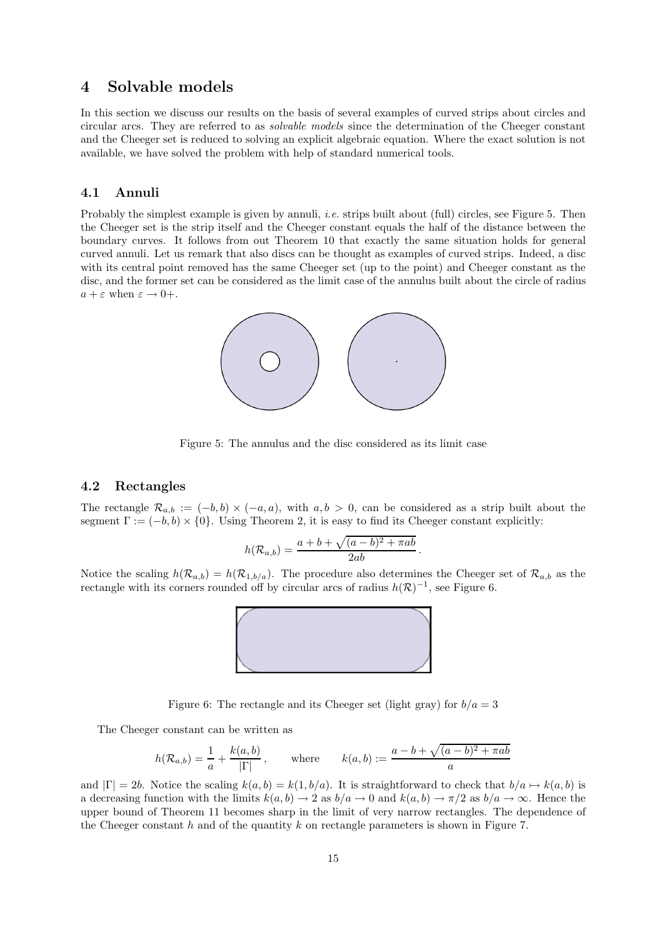# 4 Solvable models

In this section we discuss our results on the basis of several examples of curved strips about circles and circular arcs. They are referred to as *solvable models* since the determination of the Cheeger constant and the Cheeger set is reduced to solving an explicit algebraic equation. Where the exact solution is not available, we have solved the problem with help of standard numerical tools.

### 4.1 Annuli

Probably the simplest example is given by annuli, *i.e.* strips built about (full) circles, see Figure 5. Then the Cheeger set is the strip itself and the Cheeger constant equals the half of the distance between the boundary curves. It follows from out Theorem 10 that exactly the same situation holds for general curved annuli. Let us remark that also discs can be thought as examples of curved strips. Indeed, a disc with its central point removed has the same Cheeger set (up to the point) and Cheeger constant as the disc, and the former set can be considered as the limit case of the annulus built about the circle of radius  $a + \varepsilon$  when  $\varepsilon \to 0+$ .



Figure 5: The annulus and the disc considered as its limit case

#### 4.2 Rectangles

The rectangle  $\mathcal{R}_{a,b} := (-b,b) \times (-a,a)$ , with  $a,b > 0$ , can be considered as a strip built about the segment  $\Gamma := (-b, b) \times \{0\}$ . Using Theorem 2, it is easy to find its Cheeger constant explicitly:

$$
h(\mathcal{R}_{a,b}) = \frac{a+b+\sqrt{(a-b)^2+\pi ab}}{2ab}.
$$

Notice the scaling  $h(\mathcal{R}_{a,b}) = h(\mathcal{R}_{1,b/a})$ . The procedure also determines the Cheeger set of  $\mathcal{R}_{a,b}$  as the rectangle with its corners rounded off by circular arcs of radius  $h(\mathcal{R})^{-1}$ , see Figure 6.



Figure 6: The rectangle and its Cheeger set (light gray) for  $b/a = 3$ 

The Cheeger constant can be written as

$$
h(\mathcal{R}_{a,b}) = \frac{1}{a} + \frac{k(a,b)}{|\Gamma|},
$$
 where  $k(a,b) := \frac{a-b+\sqrt{(a-b)^2 + \pi ab}}{a}$ 

and  $|\Gamma| = 2b$ . Notice the scaling  $k(a, b) = k(1, b/a)$ . It is straightforward to check that  $b/a \mapsto k(a, b)$  is a decreasing function with the limits  $k(a, b) \to 2$  as  $b/a \to 0$  and  $k(a, b) \to \pi/2$  as  $b/a \to \infty$ . Hence the upper bound of Theorem 11 becomes sharp in the limit of very narrow rectangles. The dependence of the Cheeger constant  $h$  and of the quantity  $k$  on rectangle parameters is shown in Figure 7.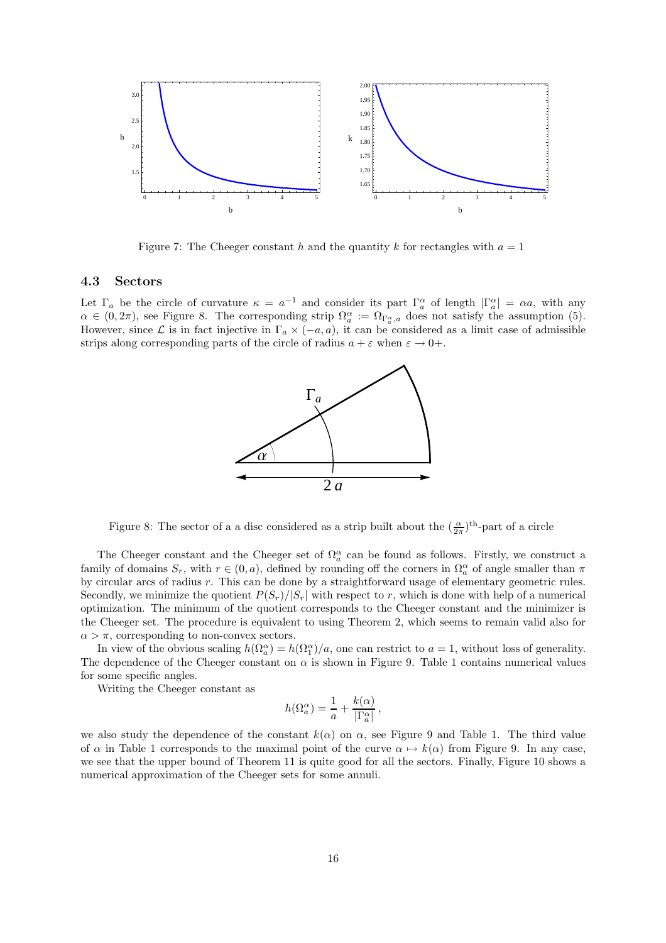

Figure 7: The Cheeger constant h and the quantity k for rectangles with  $a = 1$ 

#### 4.3 Sectors

Let  $\Gamma_a$  be the circle of curvature  $\kappa = a^{-1}$  and consider its part  $\Gamma_a^{\alpha}$  of length  $|\Gamma_a^{\alpha}| = \alpha a$ , with any  $\alpha \in (0, 2\pi)$ , see Figure 8. The corresponding strip  $\Omega_a^{\alpha} := \Omega_{\Gamma_a^{\alpha},a}$  does not satisfy the assumption (5). However, since  $\mathcal L$  is in fact injective in  $\Gamma_a \times (-a, a)$ , it can be considered as a limit case of admissible strips along corresponding parts of the circle of radius  $a + \varepsilon$  when  $\varepsilon \to 0+$ .



Figure 8: The sector of a a disc considered as a strip built about the  $(\frac{\alpha}{2\pi})^{\text{th}}$ -part of a circle

The Cheeger constant and the Cheeger set of  $\Omega_a^{\alpha}$  can be found as follows. Firstly, we construct a family of domains  $S_r$ , with  $r \in (0, a)$ , defined by rounding off the corners in  $\Omega_a^{\alpha}$  of angle smaller than  $\pi$ by circular arcs of radius r. This can be done by a straightforward usage of elementary geometric rules. Secondly, we minimize the quotient  $P(S_r)/|S_r|$  with respect to r, which is done with help of a numerical optimization. The minimum of the quotient corresponds to the Cheeger constant and the minimizer is the Cheeger set. The procedure is equivalent to using Theorem 2, which seems to remain valid also for  $\alpha > \pi$ , corresponding to non-convex sectors.

In view of the obvious scaling  $h(\Omega_a^{\alpha}) = h(\Omega_1^{\alpha})/a$ , one can restrict to  $a = 1$ , without loss of generality. The dependence of the Cheeger constant on  $\alpha$  is shown in Figure 9. Table 1 contains numerical values for some specific angles.

Writing the Cheeger constant as

$$
h(\Omega_a^{\alpha}) = \frac{1}{a} + \frac{k(\alpha)}{|\Gamma_a^{\alpha}|},
$$

we also study the dependence of the constant  $k(\alpha)$  on  $\alpha$ , see Figure 9 and Table 1. The third value of  $\alpha$  in Table 1 corresponds to the maximal point of the curve  $\alpha \mapsto k(\alpha)$  from Figure 9. In any case, we see that the upper bound of Theorem 11 is quite good for all the sectors. Finally, Figure 10 shows a numerical approximation of the Cheeger sets for some annuli.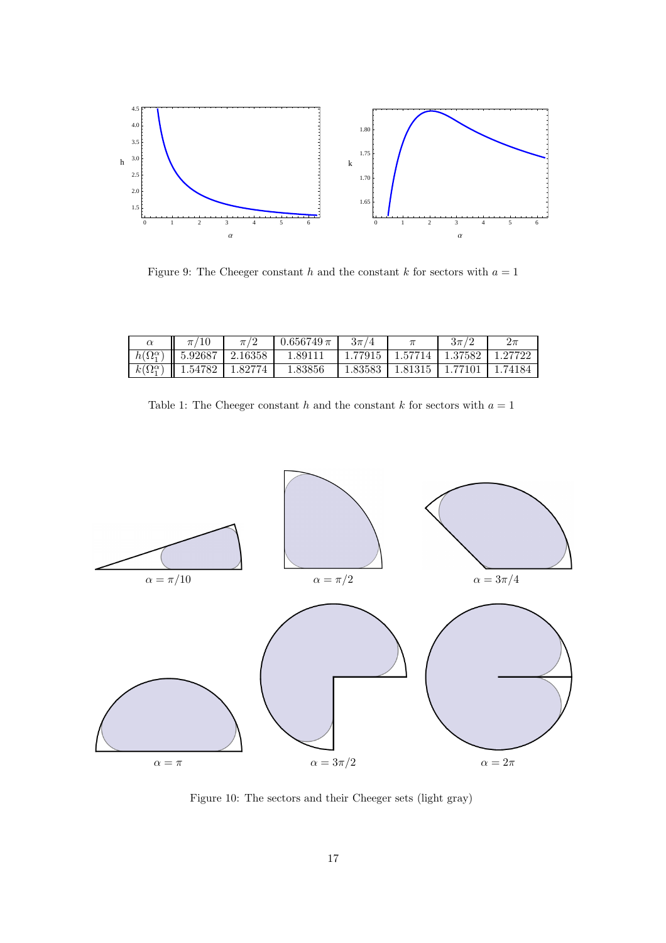

Figure 9: The Cheeger constant  $h$  and the constant  $k$  for sectors with  $a = 1$ 

|                                   | $\pi$ /                        | $\pi/2$ | $0.656749 \pi$ | $3\pi/4$ |         | $3\pi/$ | $2\pi$  |
|-----------------------------------|--------------------------------|---------|----------------|----------|---------|---------|---------|
|                                   | $h(\Omega_1^{\alpha})$ 5.92687 | 2.16358 | 1.89111        | 1.77915  | 1.57714 | 1.37582 | 1.27722 |
| $k(\overline{\Omega_1^{\alpha}})$ | 1.54782                        | 1.82774 | 1.83856        | 1.83583  | 1.81315 | 1.77101 | 1.74184 |

| Table 1: The Cheeger constant h and the constant k for sectors with $a = 1$ |  |  |  |  |  |  |  |  |  |  |  |  |
|-----------------------------------------------------------------------------|--|--|--|--|--|--|--|--|--|--|--|--|
|-----------------------------------------------------------------------------|--|--|--|--|--|--|--|--|--|--|--|--|



Figure 10: The sectors and their Cheeger sets (light gray)